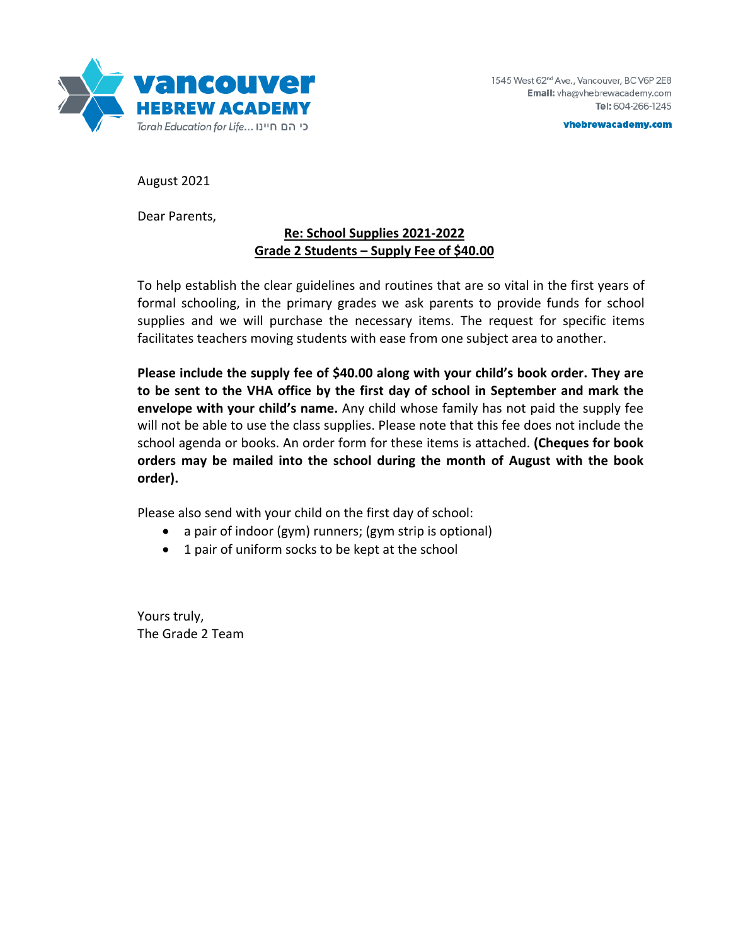

vhebrewacademy.com

August 2021

Dear Parents,

## **Re: School Supplies 2021-2022 Grade 2 Students – Supply Fee of \$40.00**

To help establish the clear guidelines and routines that are so vital in the first years of formal schooling, in the primary grades we ask parents to provide funds for school supplies and we will purchase the necessary items. The request for specific items facilitates teachers moving students with ease from one subject area to another.

**Please include the supply fee of \$40.00 along with your child's book order. They are to be sent to the VHA office by the first day of school in September and mark the envelope with your child's name.** Any child whose family has not paid the supply fee will not be able to use the class supplies. Please note that this fee does not include the school agenda or books. An order form for these items is attached. **(Cheques for book orders may be mailed into the school during the month of August with the book order).** 

Please also send with your child on the first day of school:

- a pair of indoor (gym) runners; (gym strip is optional)
- 1 pair of uniform socks to be kept at the school

Yours truly, The Grade 2 Team